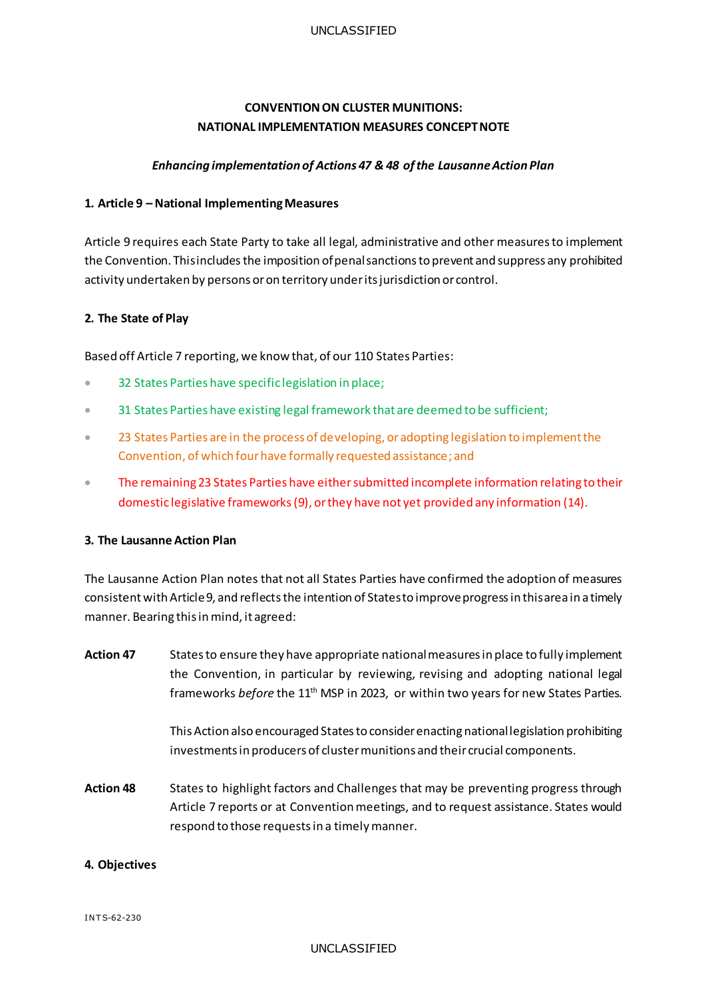# **CONVENTION ON CLUSTER MUNITIONS: NATIONAL IMPLEMENTATION MEASURES CONCEPT NOTE**

# *Enhancing implementation of Actions 47 & 48 of the LausanneAction Plan*

# **1. Article 9 – National Implementing Measures**

Article 9 requires each State Party to take all legal, administrative and other measures to implement the Convention. This includes the imposition of penal sanctions to prevent and suppress any prohibited activity undertaken by persons or on territory under its jurisdiction or control.

# **2. The State of Play**

Based off Article 7 reporting, we know that, of our 110 States Parties:

- **32 States Parties have specific legislation in place;**
- <sup>31</sup> States Parties have existing legal framework that are deemed to be sufficient;
- <sup>2</sup> 23 States Parties are in the process of developing, or adopting legislation to implement the Convention, of which four have formally requested assistance; and
- The remaining 23 States Parties have either submitted incomplete information relating to their domestic legislative frameworks(9), or they have not yet provided any information (14).

#### **3. The Lausanne Action Plan**

The Lausanne Action Plan notes that not all States Parties have confirmed the adoption of measures consistent with Article 9, and reflects the intention of States to improve progress in this area in a timely manner. Bearing this in mind, it agreed:

| <b>Action 47</b> | States to ensure they have appropriate national measures in place to fully implement<br>the Convention, in particular by reviewing, revising and adopting national legal<br>frameworks before the 11 <sup>th</sup> MSP in 2023, or within two years for new States Parties. |
|------------------|-----------------------------------------------------------------------------------------------------------------------------------------------------------------------------------------------------------------------------------------------------------------------------|
|                  | This Action also encouraged States to consider enacting national legislation prohibiting<br>investments in producers of cluster munitions and their crucial components.                                                                                                     |
| <b>Action 48</b> | States to highlight factors and Challenges that may be preventing progress through<br>Article 7 reports or at Convention meetings, and to request assistance. States would<br>respond to those requests in a timely manner.                                                 |

# **4. Objectives**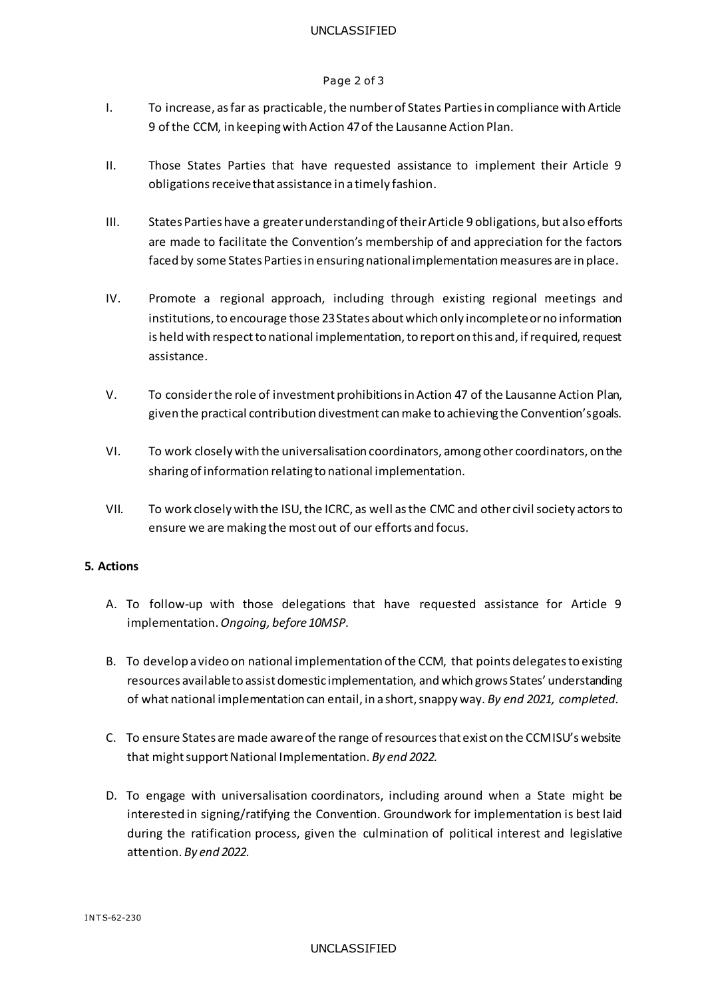#### UNCLASSIFIED

#### Page 2 of 3

- I. To increase, as far as practicable, the number of States Parties in compliance with Article 9 of the CCM, in keeping with Action 47 of the Lausanne Action Plan.
- II. Those States Parties that have requested assistance to implement their Article 9 obligations receive that assistance in a timely fashion.
- III. States Parties have a greater understanding of their Article 9 obligations, but also efforts are made to facilitate the Convention's membership of and appreciation for the factors faced by some States Parties in ensuring national implementation measures are in place.
- IV. Promote a regional approach, including through existing regional meetings and institutions, to encourage those 23 States about which only incomplete or no information is held with respect to national implementation, to report on this and, if required, request assistance.
- V. To consider the role of investment prohibitions in Action 47 of the Lausanne Action Plan, given the practical contribution divestment can make to achieving the Convention's goals.
- VI. To work closely with the universalisation coordinators, among other coordinators, on the sharing of information relating to national implementation.
- VII. To work closely with the ISU, the ICRC, as well as the CMC and other civil society actors to ensure we are making the most out of our efforts and focus.

#### **5. Actions**

- A. To follow-up with those delegations that have requested assistance for Article 9 implementation. *Ongoing, before 10MSP.*
- B. To develop a video on national implementation of the CCM, that points delegates to existing resources available to assist domestic implementation, and which grows States' understanding of what national implementation can entail, in a short, snappy way. *By end 2021, completed.*
- C. To ensure States are made aware of the range of resources that exist on the CCM ISU's website that might support National Implementation. *By end 2022.*
- D. To engage with universalisation coordinators, including around when a State might be interested in signing/ratifying the Convention. Groundwork for implementation is best laid during the ratification process, given the culmination of political interest and legislative attention. *By end 2022.*